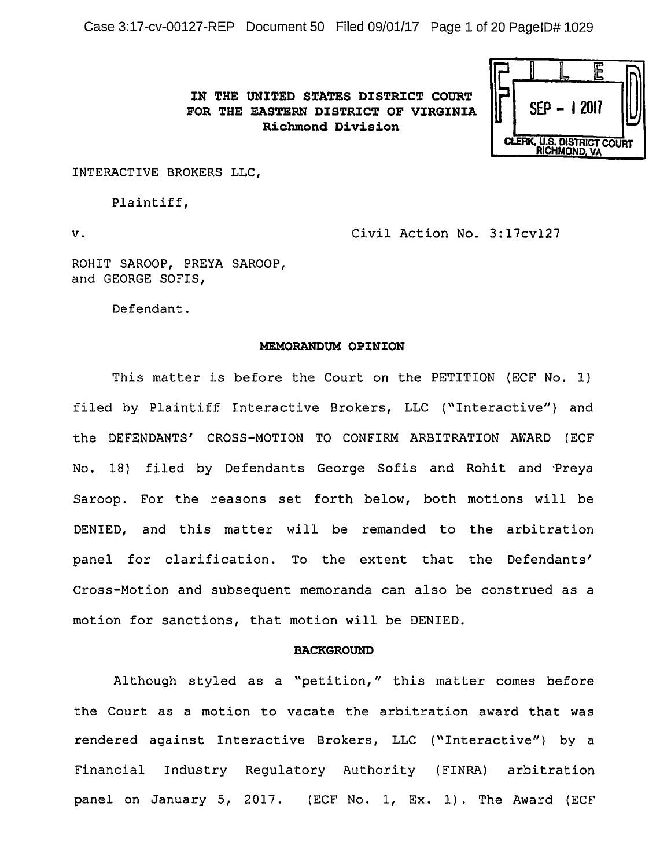Case 3:17-cv-00127-REP Document 50 Filed 09/01/17 Page 1of20 PagelD# 1029

**IN THE UNITED STATES DISTRICT COURT FOR THE EASTERN DISTRICT OF VIRGINIA Richmond Division** 

|                            |  | $SEP - 12017$ |  |  |
|----------------------------|--|---------------|--|--|
| CLERK, U.S. DISTRICT COURT |  |               |  |  |

INTERACTIVE BROKERS LLC,

Plaintiff,

v. Civil Action No. 3:17cvl27

ROHIT SAROOP, PREYA SAROOP, and GEORGE SOFIS,

Defendant.

### **MEMORANDUM OPINION**

This matter is before the Court on the PETITION (ECF No. 1) filed by Plaintiff Interactive Brokers, LLC ("Interactive") and the DEFENDANTS' CROSS-MOTION TO CONFIRM ARBITRATION AWARD (ECF No. 18) filed by Defendants George Sofis and Rohit and Preya Saroop. For the reasons set forth below, both motions will be DENIED, and this matter will be remanded to the arbitration panel for clarification. To the extent that the Defendants' Cross-Motion and subsequent memoranda can also be construed as a motion for sanctions, that motion will be DENIED.

#### **BACKGROUND**

Although styled as a "petition," this matter comes before the Court as a motion to vacate the arbitration award that was rendered against Interactive Brokers, LLC ("Interactive") by a Financial Industry Regulatory Authority (FINRA) arbitration panel on January 5, 2017. (ECF No. 1, Ex. 1). The Award (ECF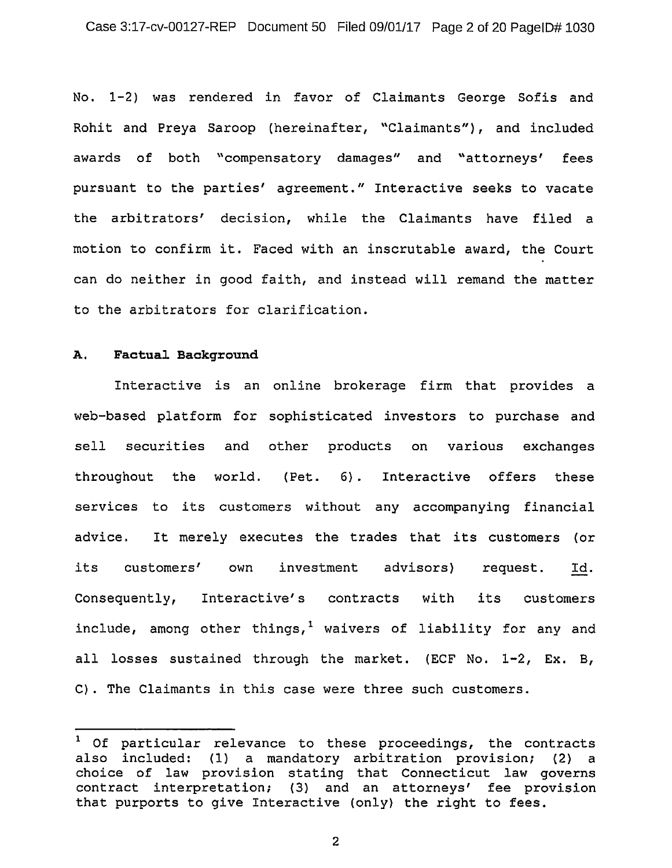No. 1-2) was rendered in favor of Claimants George Sofis and Rohit and Preya Saroop (hereinafter, "Claimants"}, and included awards of both "compensatory damages" and "attorneys' fees pursuant to the parties' agreement." Interactive seeks to vacate the arbitrators' decision, while the Claimants have filed a motion to confirm it. Faced with an inscrutable award, the Court can do neither in good faith, and instead will remand the matter to the arbitrators for clarification.

# **A. Factual Background**

Interactive is an online brokerage firm that provides a web-based platform for sophisticated investors to purchase and sell securities and other products on various exchanges throughout the world. (Pet. 6}. Interactive offers these services to its customers without any accompanying financial advice. It merely executes the trades that its customers {or its customers' own investment advisors} request. Id. Consequently, Interactive's contracts with its customers include, among other things,<sup>1</sup> waivers of liability for any and all losses sustained through the market. (ECF No. 1-2, Ex. B, C). The Claimants in this case were three such customers.

 $1$  Of particular relevance to these proceedings, the contracts also included: (1} a mandatory arbitration provision; (2} a choice of law provision stating that Connecticut law governs contract interpretation; (3} and an attorneys' fee provision that purports to give Interactive (only) the right to fees.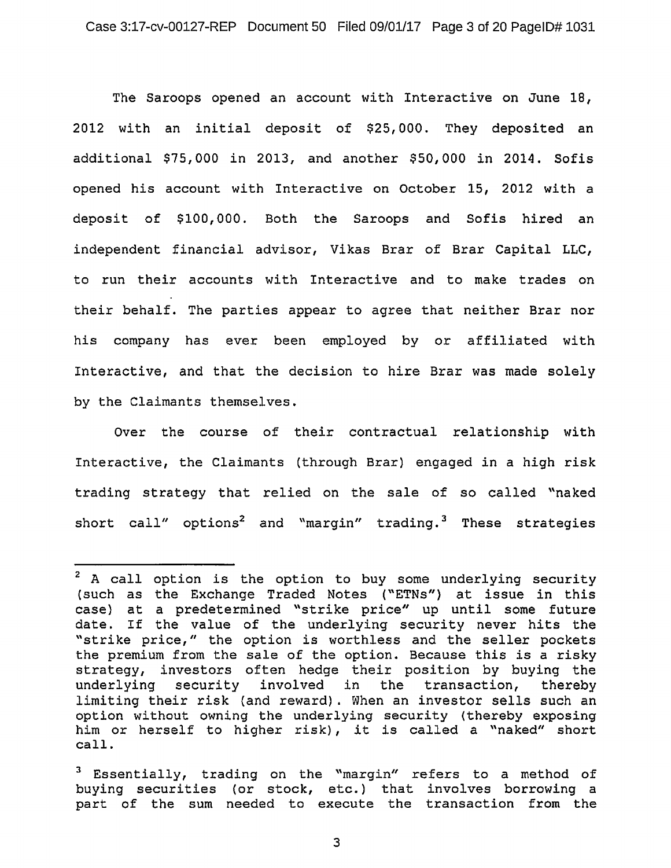The Saroops opened an account with Interactive on June 18, 2012 with an initial deposit of \$25,000. They deposited an additional \$75,000 in 2013, and another \$50,000 in 2014. Sofis opened his account with Interactive on October 15, 2012 with a deposit of \$100,000. Both the Saroops and Sofis hired an independent financial advisor, Vikas Brar of Brar Capital LLC, to run their accounts with Interactive and to make trades on their behalf. The parties appear to agree that neither Brar nor his company has ever been employed by or affiliated with Interactive, and that the decision to hire Brar was made solely by the Claimants themselves.

Over the course of their contractual relationship with Interactive, the Claimants (through Brar) engaged in *a* high risk trading strategy that relied on the sale of so called "naked short call" options<sup>2</sup> and "margin" trading.<sup>3</sup> These strategies

 $2$  A call option is the option to buy some underlying security (such as the Exchange Traded Notes ("ETNs") at issue in this case} at a predetermined "strike price" up until some future date. If the value of the underlying security never hits the "strike price," the option is worthless and the seller pockets the premium from the sale of the option. Because this is a risky strategy, investors often hedge their position by buying the underlying security involved in the transaction, thereby limiting their risk (and reward) . When an investor sells such an option without owning the underlying security (thereby exposing him or herself to higher risk), it is called a "naked" short call.

 $3$  Essentially, trading on the "margin" refers to a method of buying securities (or stock, etc.) that involves borrowing a part of the sum needed to execute the transaction from the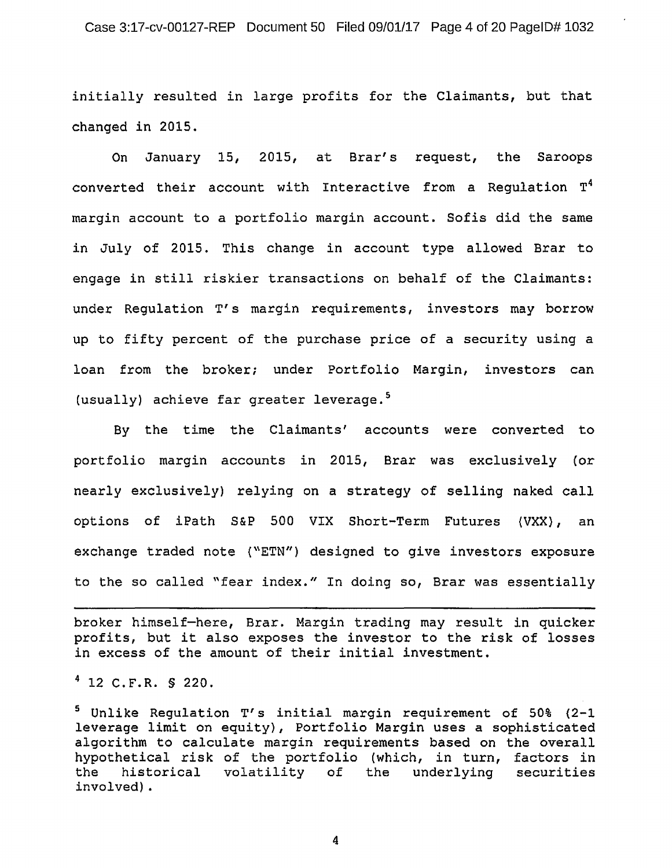initially resulted in large profits for the Claimants, but that changed in 2015.

On January 15, 2015, at Brar's request, the Saroops converted their account with Interactive from a Regulation T4 margin account to a portfolio margin account. Sofis did the same in July of 2015. This change in account type allowed Brar to engage in still riskier transactions on behalf of the Claimants: under Regulation T's margin requirements, investors may borrow up to fifty percent of the purchase price of a security using a loan from the broker; under Portfolio Margin, investors can (usually) achieve far greater leverage.<sup>5</sup>

By the time the Claimants' accounts were converted to portfolio margin accounts in 2015, Brar was exclusively (or nearly exclusively) relying on a strategy of selling naked call options of iPath S&P 500 VIX Short-Term Futures (VXX}, an exchange traded note {"ETN") designed to give investors exposure to the so called "fear index." In doing so, Brar was essentially

broker himself-here, Brar. Margin trading may result in quicker profits, but it also exposes the investor to the risk of losses in excess of the amount of their initial investment.

 $4$  12 C.F.R. § 220.

5 Unlike Regulation T's initial margin requirement of 50% {2-1 leverage limit on equity}, Portfolio Margin uses a sophisticated algorithm to calculate margin requirements based on the overall hypothetical risk of the portfolio (which, in turn, factors in<br>the historical volatility of the underlying securities the historical volatility of the involved).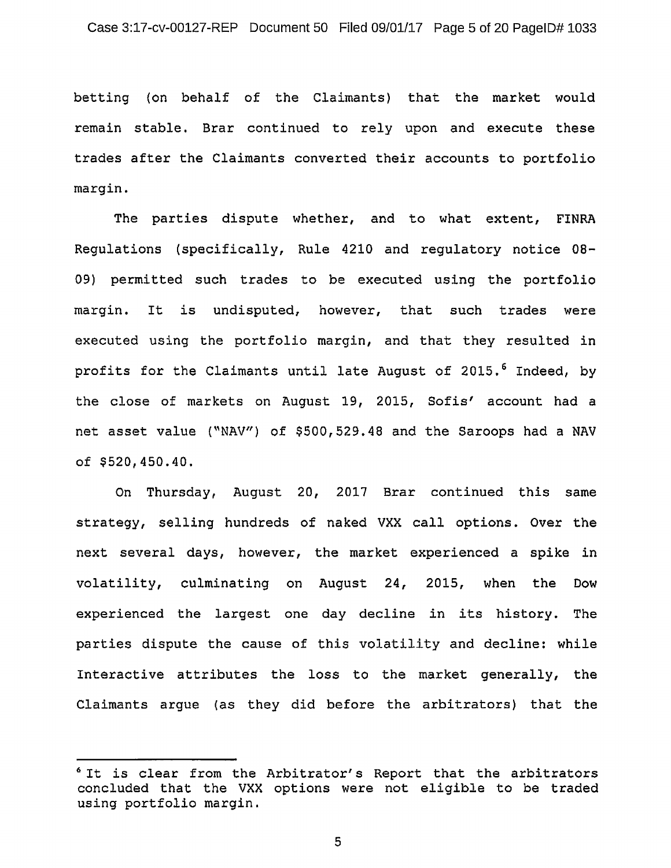betting (on behalf of the Claimants) that the market would remain stable. Brar continued to rely upon and execute these trades after the Claimants converted their accounts to portfolio margin.

The parties dispute whether, and to what extent, FINRA Regulations (specifically, Rule 4210 and regulatory notice OB-09) permitted such trades to be executed using the portfolio margin. It is undisputed, however, that such trades were executed using the portfolio margin, and that they resulted in profits for the Claimants until late August of 2015.<sup>6</sup> Indeed, by the close of markets on August 19, 2015, Sofis' account had a net asset value ("NAV") of \$500,529.48 and the Saroops had a NAV of \$520,450.40.

On Thursday, August 20, 2017 Brar continued this same strategy, selling hundreds of naked VXX call options. Over the next several days, however, the market experienced a spike in volatility, culminating on August 24, 2015, when the Dow experienced the largest one day decline in its history. The parties dispute the cause of this volatility and decline: while Interactive attributes the loss to the market generally, the Claimants argue (as they did before the arbitrators) that the

<sup>&</sup>lt;sup>6</sup> It is clear from the Arbitrator's Report that the arbitrators concluded that the VXX options were not eligible to be traded using portfolio margin.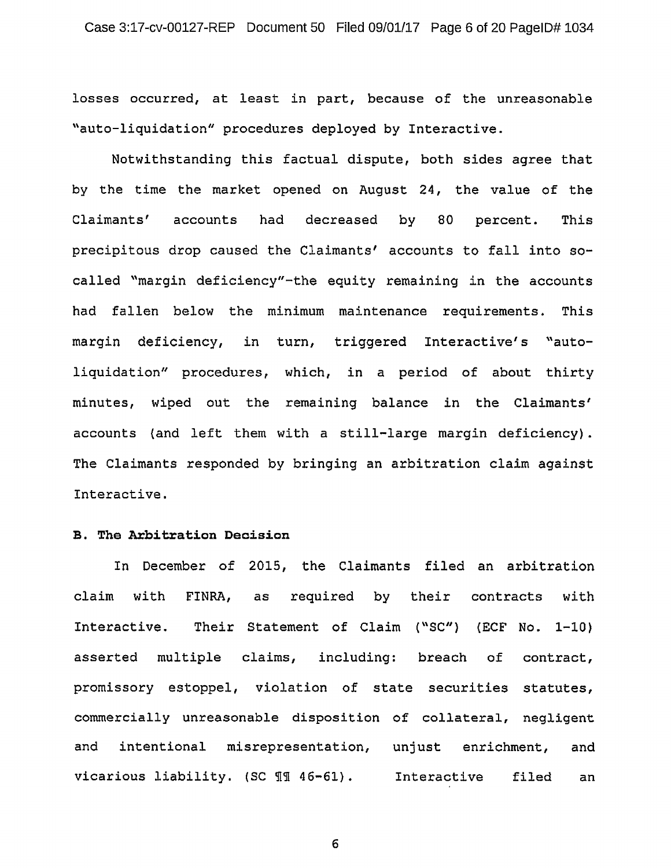losses occurred, at least in part, because of the unreasonable "auto-liquidation" procedures deployed by Interactive.

Notwithstanding this factual dispute, both sides agree that by the time the market opened on August 24, the value of the Claimants' accounts had decreased by 80 percent. This precipitous drop caused the Claimants' accounts to fall into socalled "margin deficiency"-the equity remaining in the accounts had fallen below the minimum maintenance requirements. This margin deficiency, in turn, triggered Interactive's "autoliquidation" procedures, which, in a period of about thirty minutes, wiped out the remaining balance in the Claimants' accounts {and left them with a still-large margin deficiency) . The Claimants responded by bringing an arbitration claim against Interactive.

# **B. The Arbitration Decision**

In December of 2015, the Claimants filed an arbitration claim with FINRA, as required by their contracts with Interactive. Their Statement of Claim ("SC") (ECF No. 1-10) asserted multiple claims, including: breach of contract, promissory estoppel, violation of state securities statutes, commercially unreasonable disposition of collateral, negligent and intentional misrepresentation, unjust enrichment, and vicarious liability. (SC 11 46-61). Interactive filed an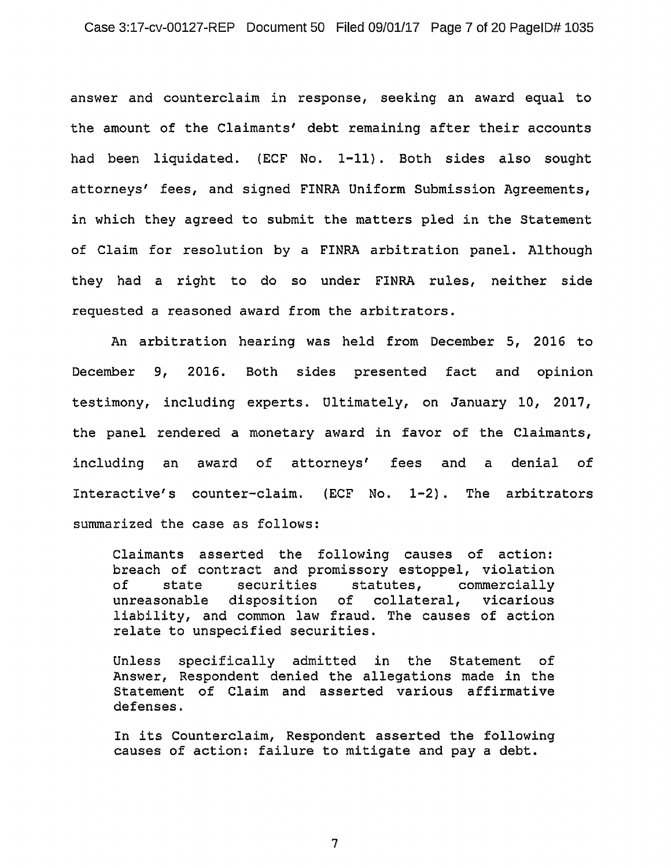answer and counterclaim in response, seeking an award equal to the amount of the Claimants' debt remaining after their accounts had been liquidated. (ECF No. 1-11). Both sides also sought attorneys' fees, and signed FINRA Uniform Submission Agreements, in which they agreed to submit the matters pled in the Statement of Claim for resolution by a FINRA arbitration panel. Although they had a right to do so under FINRA rules, neither side requested a reasoned award from the arbitrators.

An arbitration hearing was held from December 5, 2016 to December 9, 2016. Both sides presented fact and opinion testimony, including experts. Ultimately, on January 10, 2017, the panel rendered a monetary award in favor of the Claimants, including an award of attorneys' fees and a denial of Interactive's counter-claim. (ECF No. 1-2). The arbitrators summarized the case as follows:

Claimants asserted the following causes of action: breach of contract and promissory estoppel, violation<br>of state securities statutes, commercially of state securities statutes, commercially unreasonable disposition of collateral, vicarious liability, and common law fraud. The causes of action relate to unspecified securities.

Unless specifically admitted in the Statement of Answer, Respondent denied the allegations made in the Statement of Claim and asserted various affirmative defenses.

In its Counterclaim, Respondent asserted the following causes of action: failure to mitigate and pay a debt.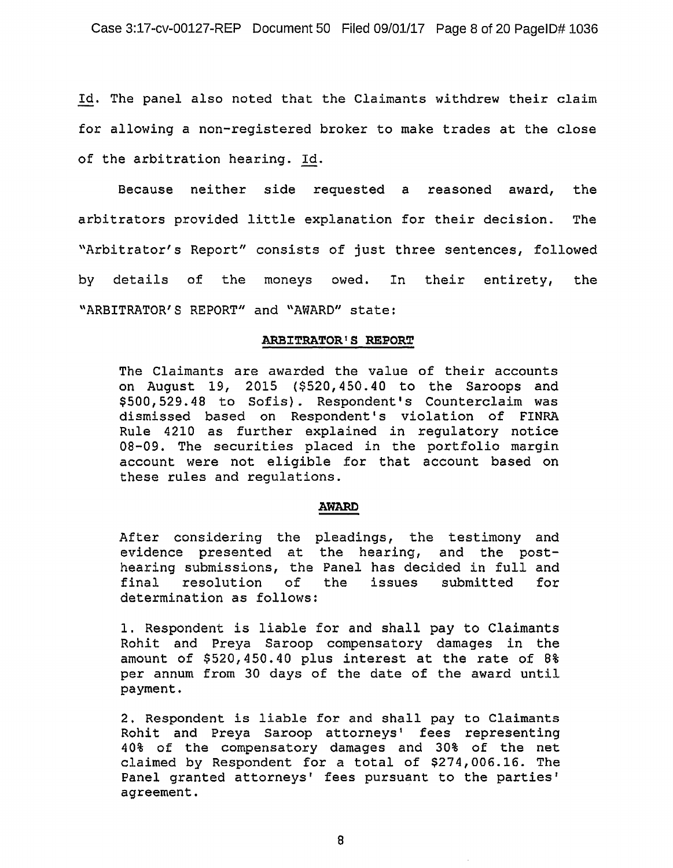Id. The panel also noted that the Claimants withdrew their claim for allowing a non-registered broker to make trades at the close of the arbitration hearing. Id.

Because neither side requested a reasoned award, the arbitrators provided little explanation for their decision. The "Arbitrator's Report" consists of just three sentences, followed by details of the moneys owed. In their entirety, the \\ARBITRATOR'S REPORT" and "AWARD" state:

### **ARBITRATOR <sup>1</sup> S REPORT**

The Claimants are awarded the value of their accounts on August 19, 2015 (\$520, 450. 40 to the Saroops and \$500,529.48 to Sofis}. Respondent's Counterclaim was dismissed based on Respondent's violation of FINRA Rule 4210 as further explained in regulatory notice 08-09. The securities placed in the portfolio margin account were not eligible for that account based on these rules and regulations.

#### **AWARD**

After considering the pleadings, the testimony and evidence presented at the hearing, and the posthearing submissions, the Panel has decided in full and<br>final resolution of the issues submitted for issues submitted determination as follows:

1. Respondent is liable for and shall pay to Claimants Rohit and Preya Saroop compensatory damages in the amount of \$520,450.40 plus interest at the rate of 8% per annum from 30 days of the date of the award until payment.

2. Respondent is liable for and shall pay to Claimants Rohit and Preya Saroop attorneys' fees representing 40% of the compensatory damages and 30% of the net claimed by Respondent for a total of \$274,006.16. The Panel granted attorneys' fees pursuant to the parties' agreement.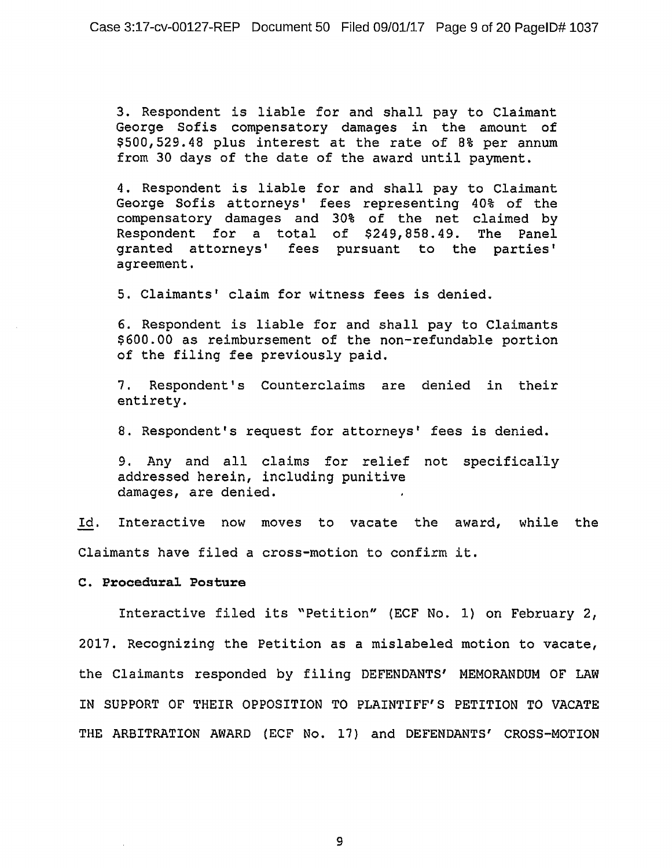3. Respondent is liable for and shall pay to Claimant George Sofis compensatory damages in the amount of \$500,529.48 plus interest at the rate of 8% per annum from 30 days of the date of the award until payment.

4. Respondent is liable for and shall pay to Claimant George Sofis attorneys' fees representing 40% of the compensatory damages and 30% of the net claimed by Respondent for a total of \$249,858.49. The Panel granted attorneys' fees pursuant to the parties' agreement.

5. Claimants' claim for witness fees is denied.

6. Respondent is liable for and shall pay to Claimants \$600.00 as reimbursement of the non-refundable portion of the filing fee previously paid.

7. Respondent's Counterclaims are denied in their entirety.

8. Respondent's request for attorneys' fees is denied.

9. Any and all claims for relief not specifically addressed herein, including punitive damages, are denied.

Id. Interactive now moves to vacate the award, while the Claimants have filed a cross-motion to confirm it.

# **C. Procedural Posture**

Interactive filed its ~Petition" (ECF No. 1) on February 2, 2017. Recognizing the Petition as a mislabeled motion to vacate, the Claimants responded by filing DEFENDANTS' MEMORANDUM OF LAW IN SUPPORT OF THEIR OPPOSITION TO PLAINTIFF'S PETITION TO VACATE THE ARBITRATION AWARD (ECF No. 17) and DEFENDANTS' CROSS-MOTION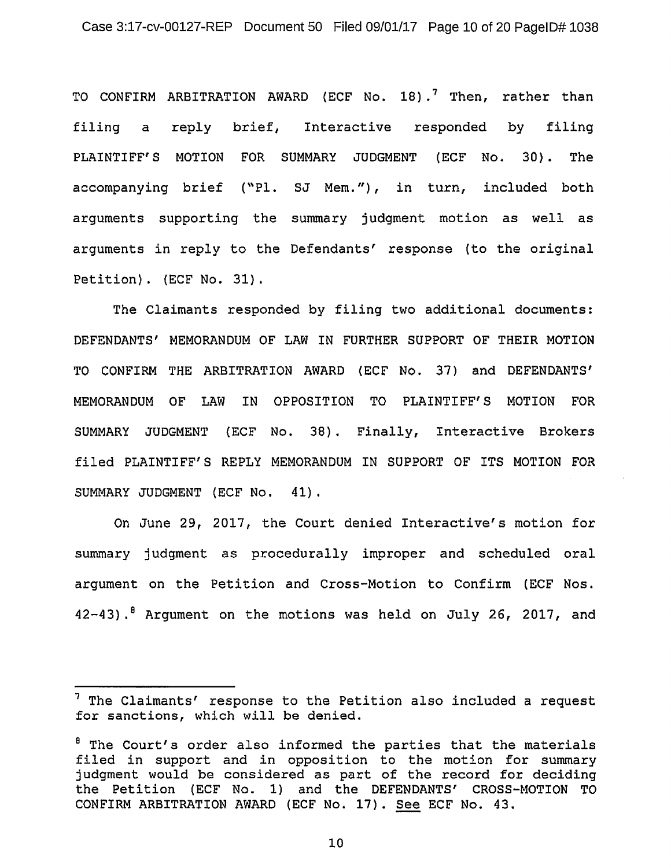TO CONFIRM ARBITRATION AWARD (ECF No. 18).<sup>7</sup> Then, rather than filing a reply brief, Interactive responded by filing PLAINTIFF'S MOTION FOR SUMMARY JUDGMENT (ECF No. 30}. The accompanying brief ("Pl. SJ Mem."), in turn, included both arguments supporting the summary judgment motion as well as arguments in reply to the Defendants' response (to the original Petition). (ECF No. 31).

The Claimants responded by filing two additional documents: DEFENDANTS' MEMORANDUM OF LAW IN FURTHER SUPPORT OF THEIR MOTION TO CONFIRM THE ARBITRATION AWARD (ECF No. 37) and DEFENDANTS' MEMORANDUM OF LAW IN OPPOSITION TO PLAINTIFF'S MOTION FOR SUMMARY JUDGMENT {ECF No. 38). Finally, Interactive Brokers filed PLAINTIFF'S REPLY MEMORANDUM IN SUPPORT OF ITS MOTION FOR SUMMARY JUDGMENT (ECF No. 41),

On June 29, 2017, the Court denied Interactive's motion for summary judgment as procedurally improper and scheduled oral argument on the Petition and Cross-Motion to Confirm (ECF Nos. 42-43).<sup>8</sup> Argument on the motions was held on July 26, 2017, and

 $<sup>7</sup>$  The Claimants' response to the Petition also included a request</sup> for sanctions, which will be denied.

<sup>&</sup>lt;sup>8</sup> The Court's order also informed the parties that the materials filed in support and in opposition to the motion for summary judgment would be considered as part of the record for deciding the Petition (ECF No. 1) and the DEFENDANTS' CROSS-MOTION TO CONFIRM ARBITRATION AWARD (ECF No. 17). See ECF No. 43.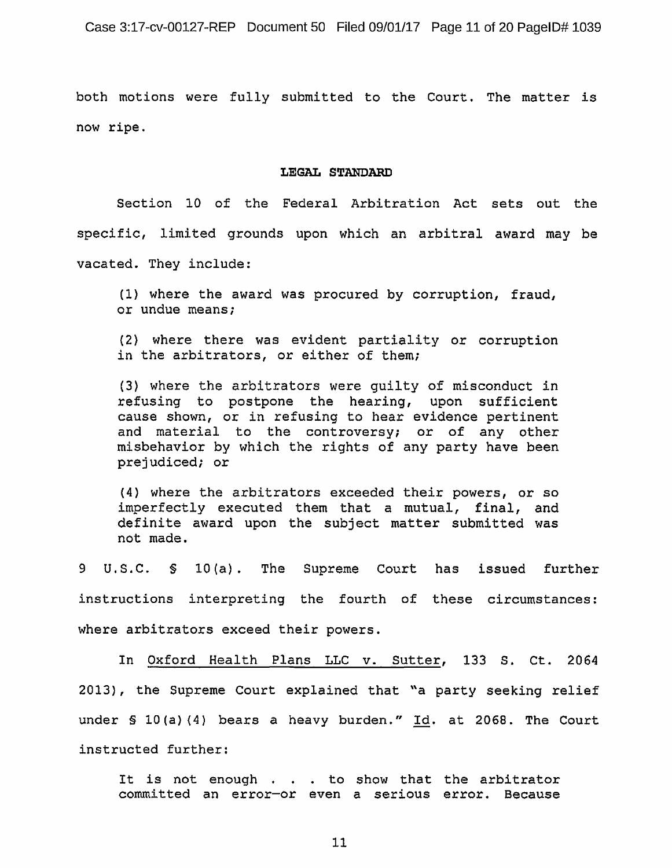both motions were fully submitted to the Court. The matter is now ripe.

### **LEGAL STANDARD**

Section 10 of the Federal Arbitration Act sets out the specific, limited grounds upon which an arbitral award may be vacated. They include:

(1) where the award was procured by corruption, fraud, or undue means;

{2} where there was evident partiality or corruption in the arbitrators, or either of them;

(3) where the arbitrators were guilty of misconduct in refusing to postpone the hearing, upon sufficient cause shown, or in refusing to hear evidence pertinent and material to the controversy; or of any other misbehavior by which the rights of any party have been prejudiced; or

{4) where the arbitrators exceeded their powers, or so imperfectly executed them that a mutual, final, and definite award upon the subject matter submitted was not made.

9 U.S.C. § lO(a). The Supreme Court has issued further instructions interpreting the fourth of these circumstances: where arbitrators exceed their powers.

In Oxford Health Plans LLC v. Sutter, 133 s. Ct. 2064 2013), the Supreme Court explained that "a party seeking relief under § 10(a)(4) bears a heavy burden."  $Id.$  at 2068. The Court instructed further:

It is not enough . . . to show that the arbitrator committed an error-or even a serious error. Because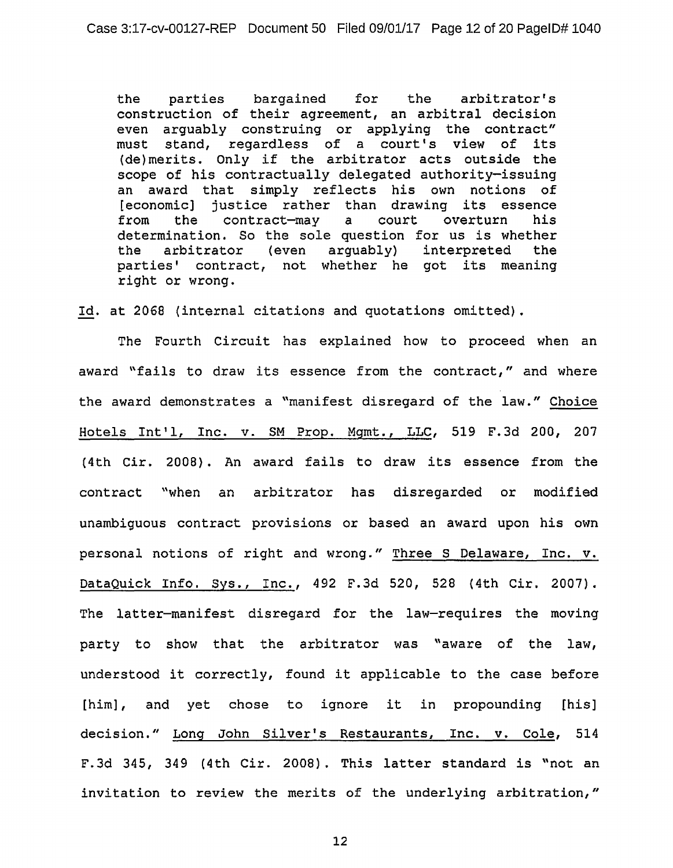the parties bargained for the arbitrator's construction of their agreement, an arbitral decision even arguably construing or applying the contract" must stand, regardless of a court's view of its (de)merits. Only if the arbitrator acts outside the scope of his contractually delegated authority-issuing an award that simply reflects his own notions of [economic] justice rather than drawing its essence<br>from the contract-may a court overturn his the contract-may a court determination. So the sole question for us *is* whether the arbitrator (even arquably) parties' contract, not whether he got its meaning right or wrong.

Id. at 2068 (internal citations and quotations omitted).

The Fourth Circuit has explained how to proceed when an award "fails to draw its essence from the contract," and where the award demonstrates a "manifest disregard of the law." Choice Hotels Int'l, Inc. v. SM Prop. Mgmt., LLC, 519 F.3d 200, 207 (4th Cir. 2008). An award fails to draw its essence from the contract "when an arbitrator has disregarded or modified unambiguous contract provisions or based an award upon his own personal notions of right and wrong." Three s Delaware, Inc. v. DataQuick Info. Sys., Inc., 492 F.3d 520, 528 (4th Cir. 2007). The latter-manifest disregard for the law-requires the moving party to show that the arbitrator was "aware of the law, understood it correctly, found it applicable to the case before [him], and yet chose to ignore it in propounding [his] decision." Long John Silver's Restaurants, Inc. v. Cole, 514 F.3d 345, 349 (4th Cir. 2008). This latter standard is "not an invitation to review the merits of the underlying arbitration,"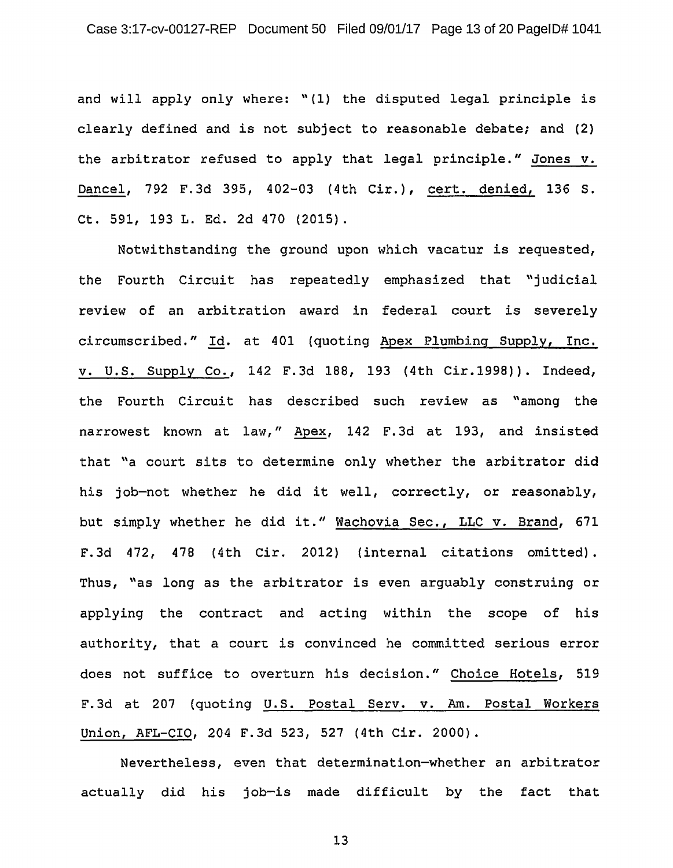and will apply only where: "(l) the disputed legal principle is clearly defined and is not subject to reasonable debate; and (2} the arbitrator refused to apply that legal principle." Jones v. Dancel, 792 F.3d 395, 402-03 (4th Cir.), cert. denied, 136 S. Ct. 591, 193 L. Ed. 2d 470 (2015).

Notwithstanding the ground upon which vacatur is requested, the Fourth Circuit has repeatedly emphasized that "judicial review of an arbitration award in federal court is severely circumscribed." Id. at 401 (quoting Apex Plumbing Supply, Inc. v. U.S. Supply Co., 142 F.3d 188, 193 (4th Cir.1998)). Indeed, the Fourth Circuit has described such review as "among the narrowest known at law," Apex, 142 F.3d at 193, and insisted that "a court sits to determine only whether the arbitrator did his job-not whether he did it well, correctly, or reasonably, but simply whether he did it." Wachovia Sec., LLC v. Brand, 671 F.3d 472, 478 (4th Cir. 2012) (internal citations omitted). Thus, "as long as the arbitrator is even arguably construing or applying the contract and acting within the scope of his authority, that a court is convinced he committed serious error does not suffice to overturn his decision." Choice Hotels, 519 F. 3d at 207 (quoting U.S. Postal Serv. v. Am. Postal Workers Union, AFL-CIO, 204 F.3d 523, 527 (4th Cir. 2000).

Nevertheless, even that determination-whether an arbitrator actually did his job-is made difficult by the fact that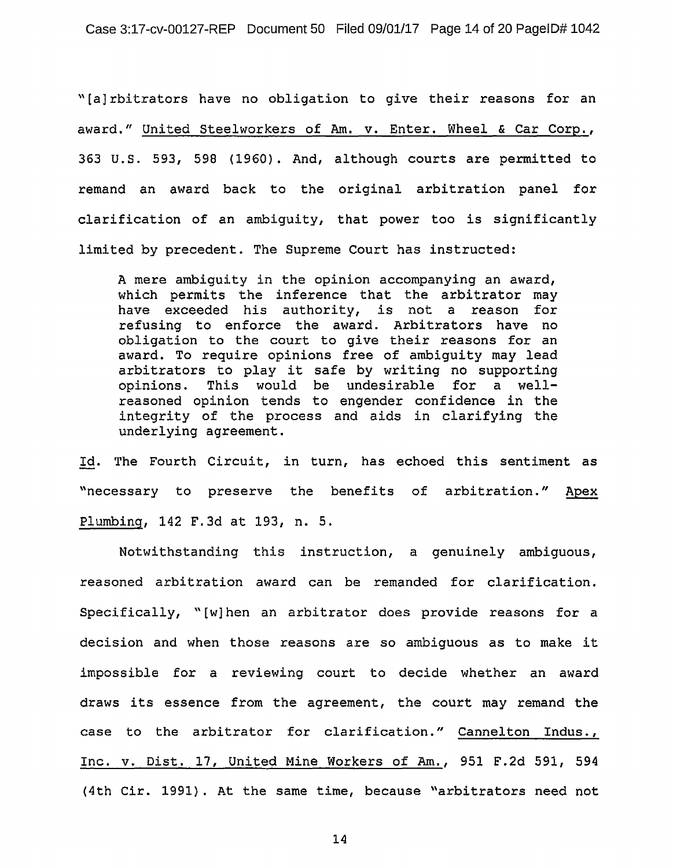"[a] rbitrators have no obligation to give their reasons for an award." United Steelworkers of Am. v. Enter. Wheel & Car Corp. , 363 U.S. 593, 598 (1960). And, although courts are permitted to remand an award back to the original arbitration panel for clarification of an ambiguity, that power too is significantly limited by precedent. The Supreme Court has instructed:

A mere ambiguity in the opinion accompanying an award, which permits the inference that the arbitrator may have exceeded his authority, is not a reason for refusing to enforce the award. Arbitrators have no obligation to the court to give their reasons for an award. To require opinions free of ambiguity may lead arbitrators to play it safe by writing no supporting opinions. This would be undesirable for a wellreasoned opinion tends to engender confidence in the integrity of the process and aids in clarifying the underlying agreement.

Id. The Fourth Circuit, in turn, has echoed this sentiment as "necessary to preserve the benefits of arbitration." Apex Plumbing, 142 F.3d at 193, n. 5.

Notwithstanding this instruction, a genuinely ambiguous, reasoned arbitration award can be remanded for clarification. Specifically, "[w] hen an arbitrator does provide reasons for a decision and when those reasons are so ambiguous as to make it impossible for a reviewing court to decide whether an award draws its essence from the agreement, the court may remand the case to the arbitrator for clarification." Cannelton Indus., Inc. v. Dist. 17, United Mine Workers of Am., 951 F.2d 591, 594 (4th Cir. 1991}. At the same time, because "arbitrators need not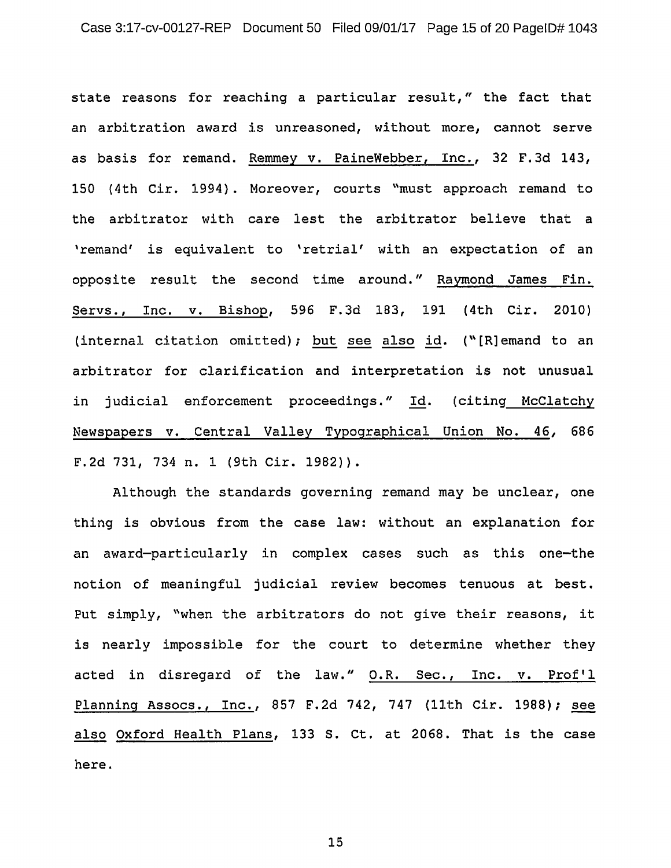state reasons for reaching a particular result," the fact that an arbitration award is unreasoned, without more, cannot serve as basis for remand. Remmey v. PaineWebber, Inc., 32 F. 3d 143, 150 (4th Cir. 1994) . Moreover, courts "must approach remand to the arbitrator with care lest the arbitrator believe that a 'remand' is equivalent to 'retrial' with an expectation of an opposite result the second time around." Raymond James Fin. Servs., Inc. v. Bishop, 596 F.3d 183, 191 (4th Cir. 2010) (internal citation omitted); but see also id. (" [R] emand to an arbitrator for clarification and interpretation is not unusual in judicial enforcement proceedings." Id. (citing McClatchy Newspapers *v.* Central Valley Typographical Union No. 46, 686 F.2d 731, 734 n. 1 (9th Cir. 1982)).

Although the standards governing remand may be unclear, one thing is obvious from the case law: without an explanation for an award-particularly in complex cases such as this one-the notion of meaningful judicial review becomes tenuous at best. Put simply, "when the arbitrators do not give their reasons, it is nearly impossible for the court to determine whether they acted in disregard of the law." O.R. Sec., Inc. v. Prof'l Planning Assocs., Inc., 857 F.2d 742, 747  $\{11th$  Cir. 1988); see also Oxford Health Plans, 133 S. Ct. at 2068. That is the case here.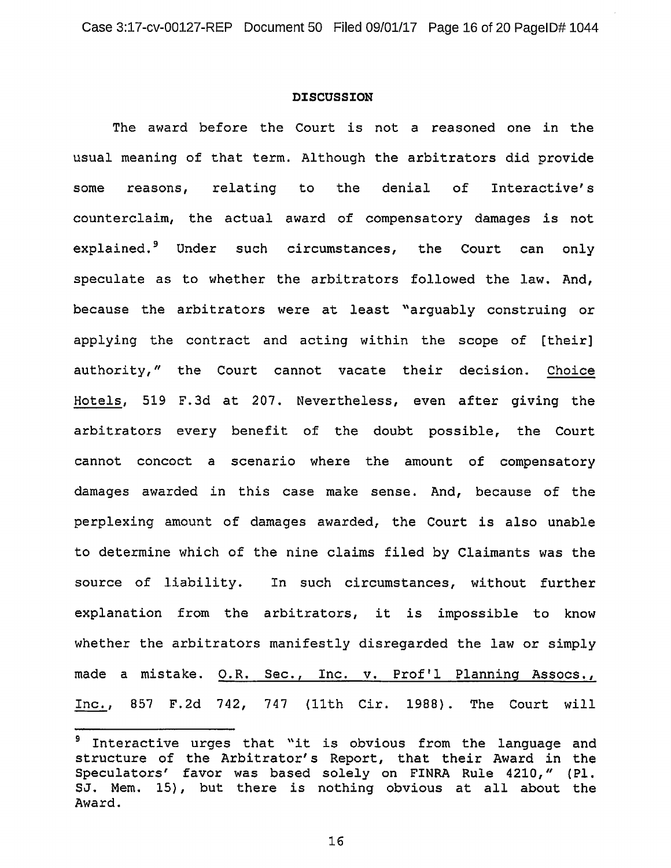# **DISCUSSION**

The award before the Court is not a reasoned one in the usual meaning of that term. Although the arbitrators did provide some reasons, relating to the denial of Interactive's counterclaim, the actual award of compensatory damages is not explained.<sup>9</sup> Under such circumstances, the Court can only speculate as to whether the arbitrators followed the law. And, because the arbitrators were at least "arguably construing or applying the contract and acting within the scope of [their] authority," the Court cannot vacate their decision. Choice Hotels, 519 F.3d at 207. Nevertheless, even after giving the arbitrators every benefit of the doubt possible, the Court cannot concoct a scenario where the amount of compensatory damages awarded in this case make sense. And, because of the perplexing amount of damages awarded, the Court is also unable to determine which of the nine claims filed by Claimants was the source of liability. In such circumstances, without further explanation from the arbitrators, it is impossible to know whether the arbitrators manifestly disregarded the law or simply made a mistake. O.R. Sec., Inc. v. Prof'l Planning Assocs., Inc., 857 F.2d 742, 747 (11th Cir. 1988}. The Court will

<sup>&</sup>lt;sup>9</sup> Interactive urges that "it is obvious from the language and structure of the Arbitrator's Report, that their Award in the Speculators' favor was based solely on FINRA Rule 4210," (Pl. SJ. Mem. 15} , but there is nothing obvious at all about the Award.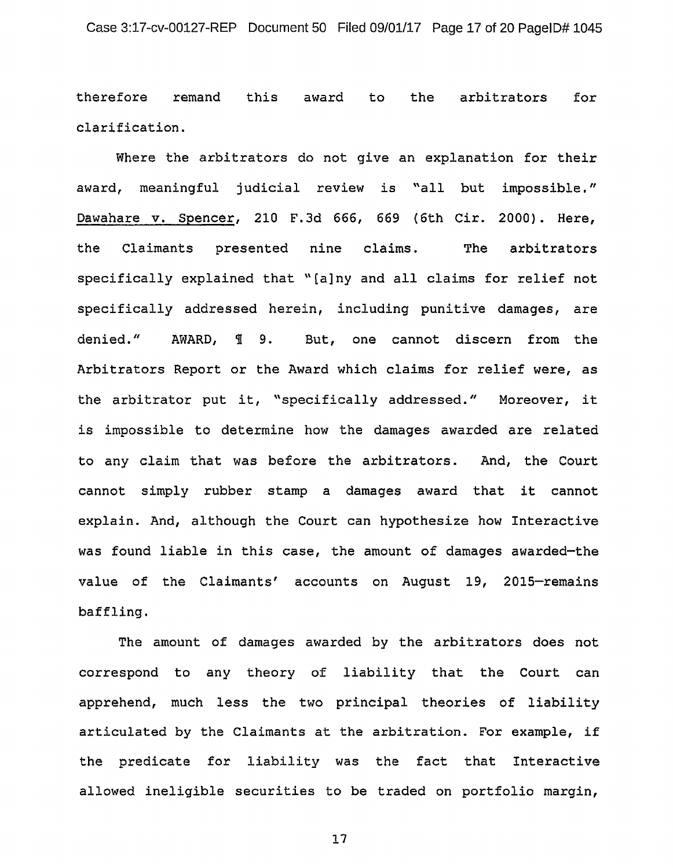therefore remand this award to the arbitrators for clarification.

Where the arbitrators do not give an explanation for their award, meaningful judicial review is "all but impossible." Dawahare v. Spencer, 210 F.3d 666, 669 (6th Cir. 2000). Here, the Claimants presented nine The arbitrators specifically explained that "[a]ny and all claims for relief not specifically addressed herein, including punitive damages, are denied." AWARD, 1 9. But, one cannot discern from the Arbitrators Report or the Award which claims for relief were, as the arbitrator put it, "specifically addressed." Moreover, it is impossible to determine how the damages awarded are related to any claim that was before the arbitrators. And, the Court cannot simply rubber stamp a damages award that it cannot explain. And, although the Court can hypothesize how Interactive was found liable in this case, the amount of damages awarded-the value of the Claimants' accounts on August 19, 2015-remains baffling.

The amount of damages awarded by the arbitrators does not correspond to any theory of liability that the Court can apprehend, much less the two principal theories of liability articulated by the Claimants at the arbitration. For example, if the predicate for liability was the fact that Interactive allowed ineligible securities to be traded on portfolio margin,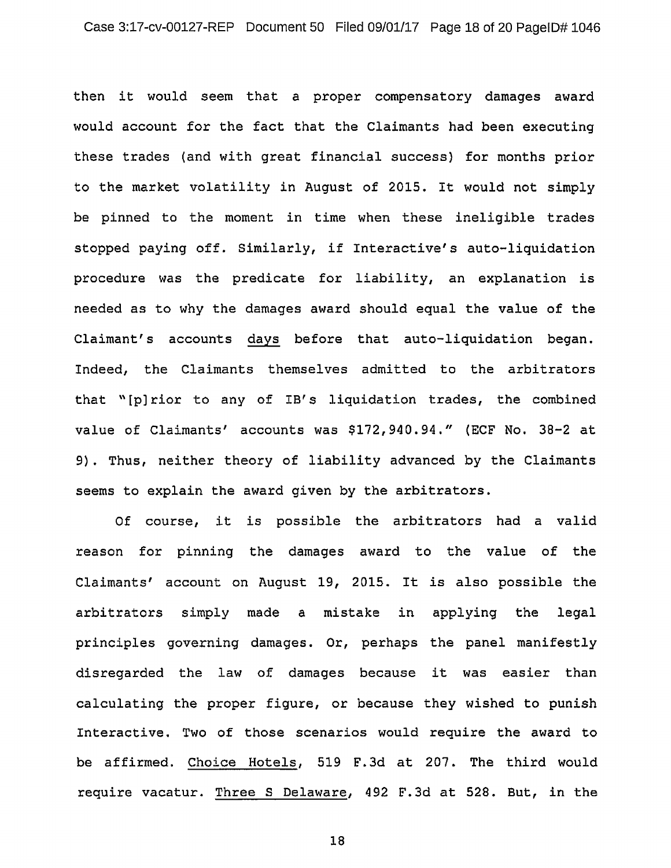then it would seem that a proper compensatory damages award would account for the fact that the Claimants had been executing these trades (and with great financial success} for months prior to the market volatility in August of 2015. It would not simply be pinned to the moment in time when these ineligible trades stopped paying off. Similarly, if Interactive's auto-liquidation procedure was the predicate for liability, an explanation is needed as to why the damages award should equal the value of the Claimant's accounts days before that auto-liquidation began. Indeed, the Claimants themselves admitted to the arbitrators that "[p] rior to any of IB's liquidation trades, the combined value of Claimants' accounts was \$172,940.94." (ECF No. 38-2 at 9}. Thus, neither theory of liability advanced by the Claimants seems to explain the award given by the arbitrators.

Of course, it is possible the arbitrators had a valid reason for pinning the damages award to the value of the Claimants' account on August 19, 2015. It is also possible the arbitrators simply made a mistake in applying the legal principles governing damages. Or, perhaps the panel manifestly disregarded the law of damages because it was easier than calculating the proper figure, or because they wished to punish Interactive. Two of those scenarios would require the award to be affirmed. Choice Hotels, 519 F.3d at 207. The third would require vacatur. Three S Delaware, 492 F.3d at 528. But, in the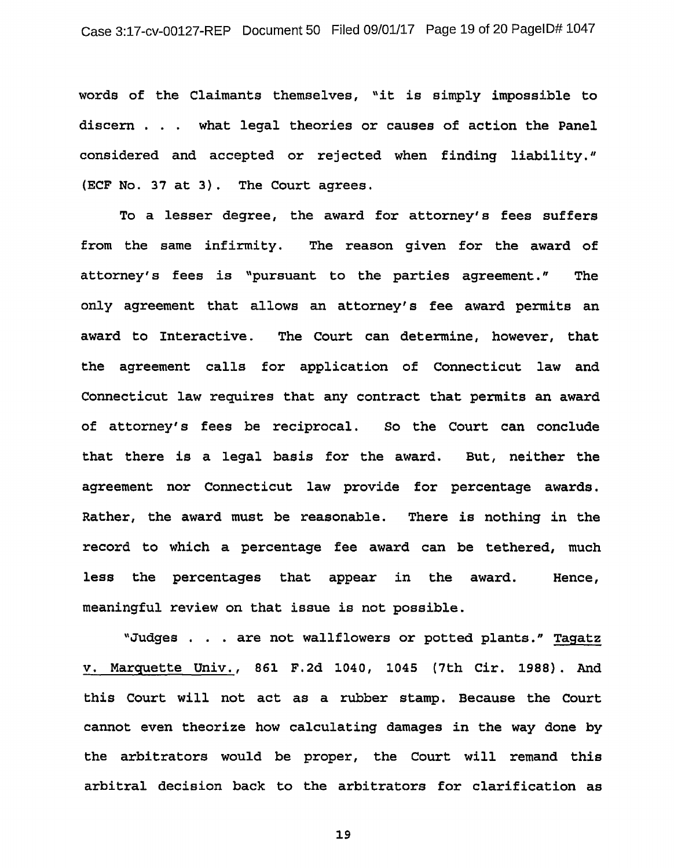words of the Claimants themselves, "it is simply impossible to discern . what legal theories or causes of action the Panel considered and accepted or rejected when finding liability." (ECF No. 37 at 3). The Court agrees.

To a lesser degree, the award for attorney's fees suffers from the same infirmity. The reason given for the award of attorney's fees is "pursuant to the parties agreement." The only agreement that allows an attorney's fee award permits an award to Interactive. The Court can determine, however, that the agreement calls for application of Connecticut law and Connecticut law requires that any contract that permits an award of attorney's fees be reciprocal. So the Court can conclude that there is a legal basis for the award. But, neither the agreement nor Connecticut law provide for percentage awards. Rather, the award must be reasonable. There is nothing in the record to which a percentage fee award can be tethered, much less the percentages that appear in the award. meaningful review on that issue is not possible. Hence,

"Judges . . . are not wallflowers or potted plants." Tagatz v. Marquette Univ., 861 F.2d 1040, 1045 (7th Cir. 1988). And this Court will not act as a rubber stamp. Because the Court cannot even theorize how calculating damages in the way done by the arbitrators would be proper, the Court will remand this arbitral decision back to the arbitrators for clarification as